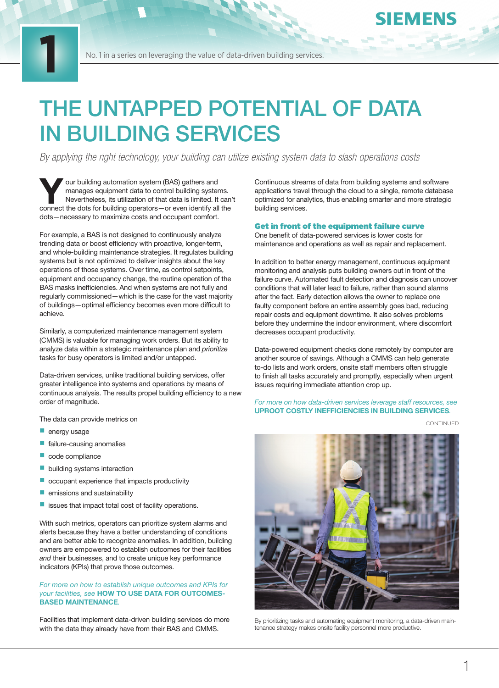# THE UNTAPPED POTENTIAL OF DATA IN BUILDING SERVICES

*By applying the right technology, your building can utilize existing system data to slash operations costs*

Your building automation system (BAS) gathers and<br>manages equipment data to control building system<br>Nevertheless, its utilization of that data is limited. It<br>connect the dots for building operators—or even identify all manages equipment data to control building systems. Nevertheless, its utilization of that data is limited. It can't connect the dots for building operators—or even identify all the dots—necessary to maximize costs and occupant comfort.

For example, a BAS is not designed to continuously analyze trending data or boost efficiency with proactive, longer-term, and whole-building maintenance strategies. It regulates building systems but is not optimized to deliver insights about the key operations of those systems. Over time, as control setpoints, equipment and occupancy change, the routine operation of the BAS masks inefficiencies. And when systems are not fully and regularly commissioned—which is the case for the vast majority of buildings—optimal efficiency becomes even more difficult to achieve.

Similarly, a computerized maintenance management system (CMMS) is valuable for managing work orders. But its ability to analyze data within a strategic maintenance plan and *prioritize* tasks for busy operators is limited and/or untapped.

Data-driven services, unlike traditional building services, offer greater intelligence into systems and operations by means of continuous analysis. The results propel building efficiency to a new order of magnitude.

The data can provide metrics on

energy usage

**1**

- $\blacksquare$  failure-causing anomalies
- $\Box$  code compliance
- $\blacksquare$  building systems interaction
- occupant experience that impacts productivity
- $\blacksquare$  emissions and sustainability
- $\blacksquare$  issues that impact total cost of facility operations.

With such metrics, operators can prioritize system alarms and alerts because they have a better understanding of conditions and are better able to recognize anomalies. In addition, building owners are empowered to establish outcomes for their facilities *and* their businesses, and to create unique key performance indicators (KPIs) that prove those outcomes.

### *For more on how to establish unique outcomes and KPIs for your facilities, see* HOW TO USE DATA FOR OUTCOMES-BASED MAINTENANCE*.*

Facilities that implement data-driven building services do more with the data they already have from their BAS and CMMS.

Continuous streams of data from building systems and software applications travel through the cloud to a single, remote database optimized for analytics, thus enabling smarter and more strategic building services.

#### Get in front of the equipment failure curve

One benefit of data-powered services is lower costs for maintenance and operations as well as repair and replacement.

In addition to better energy management, continuous equipment monitoring and analysis puts building owners out in front of the failure curve. Automated fault detection and diagnosis can uncover conditions that will later lead to failure, rather than sound alarms after the fact. Early detection allows the owner to replace one faulty component before an entire assembly goes bad, reducing repair costs and equipment downtime. It also solves problems before they undermine the indoor environment, where discomfort decreases occupant productivity.

Data-powered equipment checks done remotely by computer are another source of savings. Although a CMMS can help generate to-do lists and work orders, onsite staff members often struggle to finish all tasks accurately and promptly, especially when urgent issues requiring immediate attention crop up.

*For more on how data-driven services leverage staff resources, see*  UPROOT COSTLY INEFFICIENCIES IN BUILDING SERVICES*.* 

CONTINUED

**EMENS** 



By prioritizing tasks and automating equipment monitoring, a data-driven maintenance strategy makes onsite facility personnel more productive.